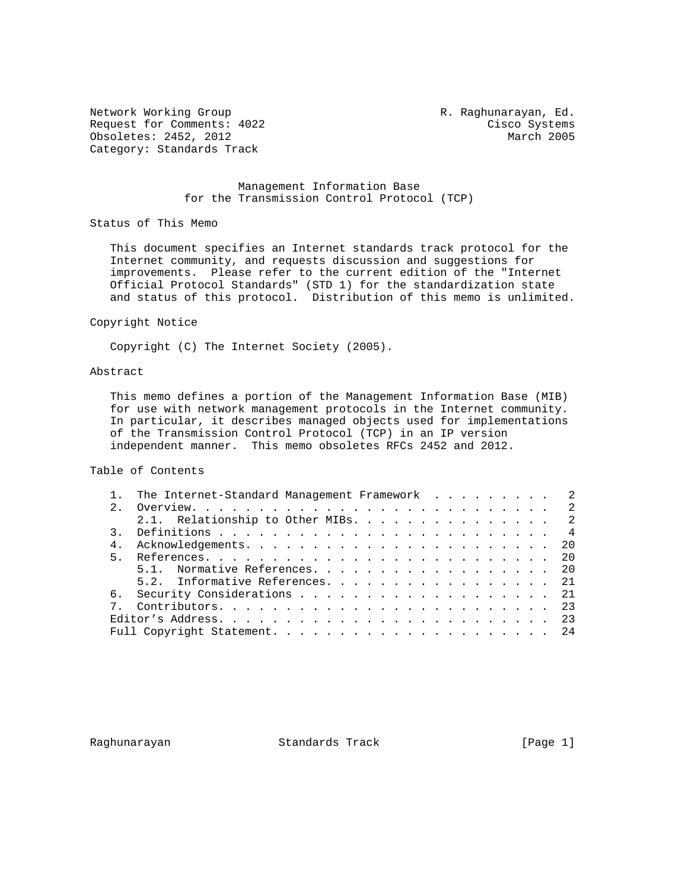Network Working Group **R. Raghunarayan, Ed.** Request for Comments: 4022 Cisco Systems<br>
Obsoletes: 2452, 2012 March 2005 Obsoletes: 2452, 2012 Category: Standards Track

# Management Information Base for the Transmission Control Protocol (TCP)

Status of This Memo

 This document specifies an Internet standards track protocol for the Internet community, and requests discussion and suggestions for improvements. Please refer to the current edition of the "Internet Official Protocol Standards" (STD 1) for the standardization state and status of this protocol. Distribution of this memo is unlimited.

#### Copyright Notice

Copyright (C) The Internet Society (2005).

### Abstract

 This memo defines a portion of the Management Information Base (MIB) for use with network management protocols in the Internet community. In particular, it describes managed objects used for implementations of the Transmission Control Protocol (TCP) in an IP version independent manner. This memo obsoletes RFCs 2452 and 2012.

Table of Contents

|             | The Internet-Standard Management Framework 2 |  |
|-------------|----------------------------------------------|--|
| $2^{\circ}$ |                                              |  |
|             | 2.1. Relationship to Other MIBs. 2           |  |
|             |                                              |  |
|             |                                              |  |
| $5 -$       |                                              |  |
|             | 5.1. Normative References. 20                |  |
|             | 5.2. Informative References. 21              |  |
|             | 6. Security Considerations 21                |  |
|             |                                              |  |
|             |                                              |  |
|             |                                              |  |

Raghunarayan Standards Track [Page 1]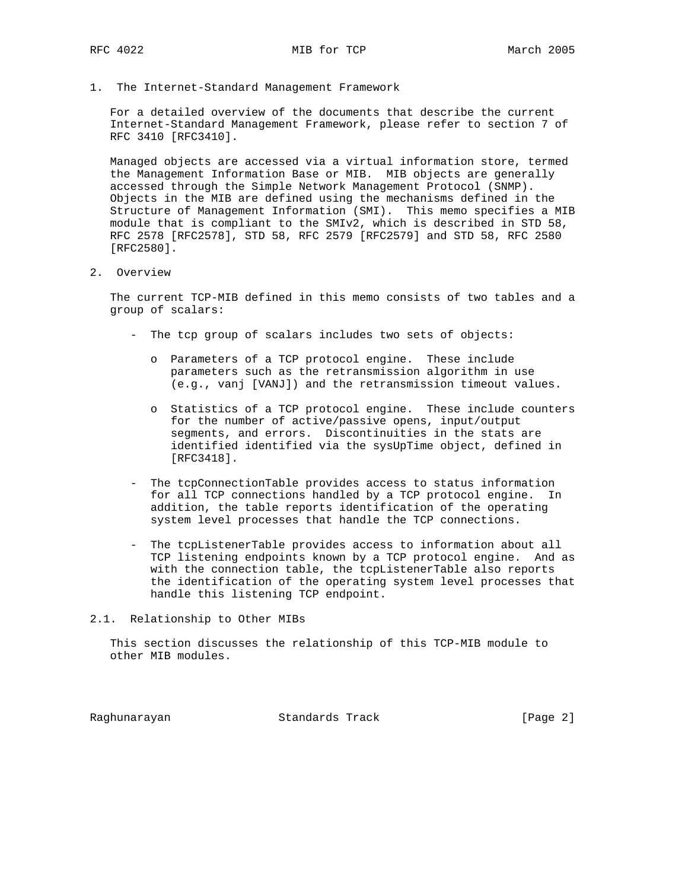1. The Internet-Standard Management Framework

 For a detailed overview of the documents that describe the current Internet-Standard Management Framework, please refer to section 7 of RFC 3410 [RFC3410].

 Managed objects are accessed via a virtual information store, termed the Management Information Base or MIB. MIB objects are generally accessed through the Simple Network Management Protocol (SNMP). Objects in the MIB are defined using the mechanisms defined in the Structure of Management Information (SMI). This memo specifies a MIB module that is compliant to the SMIv2, which is described in STD 58, RFC 2578 [RFC2578], STD 58, RFC 2579 [RFC2579] and STD 58, RFC 2580 [RFC2580].

2. Overview

 The current TCP-MIB defined in this memo consists of two tables and a group of scalars:

- The tcp group of scalars includes two sets of objects:
	- o Parameters of a TCP protocol engine. These include parameters such as the retransmission algorithm in use (e.g., vanj [VANJ]) and the retransmission timeout values.
	- o Statistics of a TCP protocol engine. These include counters for the number of active/passive opens, input/output segments, and errors. Discontinuities in the stats are identified identified via the sysUpTime object, defined in [RFC3418].
- The tcpConnectionTable provides access to status information for all TCP connections handled by a TCP protocol engine. In addition, the table reports identification of the operating system level processes that handle the TCP connections.
- The tcpListenerTable provides access to information about all TCP listening endpoints known by a TCP protocol engine. And as with the connection table, the tcpListenerTable also reports the identification of the operating system level processes that handle this listening TCP endpoint.
- 2.1. Relationship to Other MIBs

 This section discusses the relationship of this TCP-MIB module to other MIB modules.

Raghunarayan **Standards Track** 1999 [Page 2]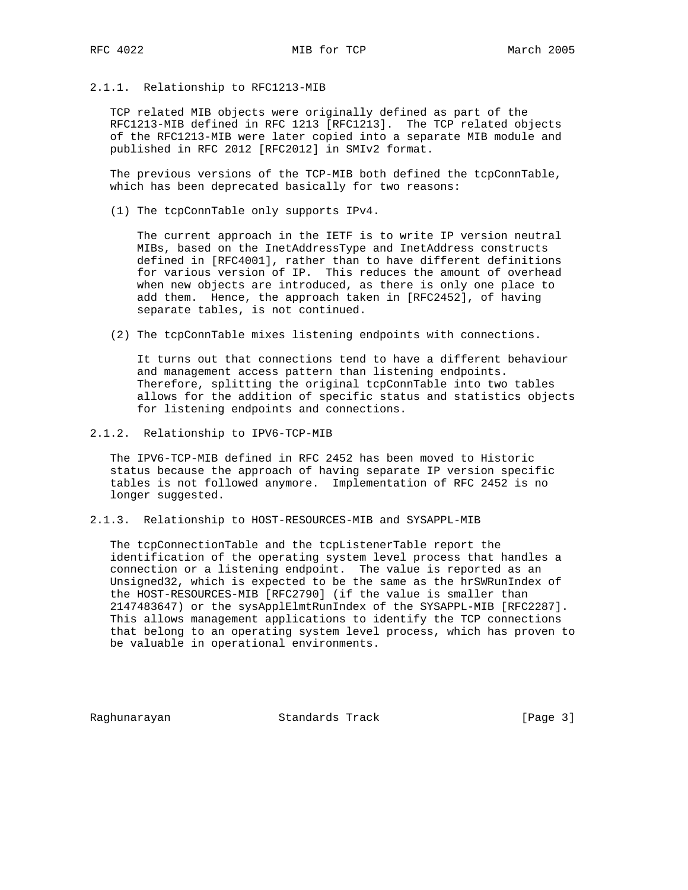# 2.1.1. Relationship to RFC1213-MIB

 TCP related MIB objects were originally defined as part of the RFC1213-MIB defined in RFC 1213 [RFC1213]. The TCP related objects of the RFC1213-MIB were later copied into a separate MIB module and published in RFC 2012 [RFC2012] in SMIv2 format.

 The previous versions of the TCP-MIB both defined the tcpConnTable, which has been deprecated basically for two reasons:

(1) The tcpConnTable only supports IPv4.

 The current approach in the IETF is to write IP version neutral MIBs, based on the InetAddressType and InetAddress constructs defined in [RFC4001], rather than to have different definitions for various version of IP. This reduces the amount of overhead when new objects are introduced, as there is only one place to add them. Hence, the approach taken in [RFC2452], of having separate tables, is not continued.

(2) The tcpConnTable mixes listening endpoints with connections.

 It turns out that connections tend to have a different behaviour and management access pattern than listening endpoints. Therefore, splitting the original tcpConnTable into two tables allows for the addition of specific status and statistics objects for listening endpoints and connections.

2.1.2. Relationship to IPV6-TCP-MIB

 The IPV6-TCP-MIB defined in RFC 2452 has been moved to Historic status because the approach of having separate IP version specific tables is not followed anymore. Implementation of RFC 2452 is no longer suggested.

2.1.3. Relationship to HOST-RESOURCES-MIB and SYSAPPL-MIB

 The tcpConnectionTable and the tcpListenerTable report the identification of the operating system level process that handles a connection or a listening endpoint. The value is reported as an Unsigned32, which is expected to be the same as the hrSWRunIndex of the HOST-RESOURCES-MIB [RFC2790] (if the value is smaller than 2147483647) or the sysApplElmtRunIndex of the SYSAPPL-MIB [RFC2287]. This allows management applications to identify the TCP connections that belong to an operating system level process, which has proven to be valuable in operational environments.

Raghunarayan Standards Track [Page 3]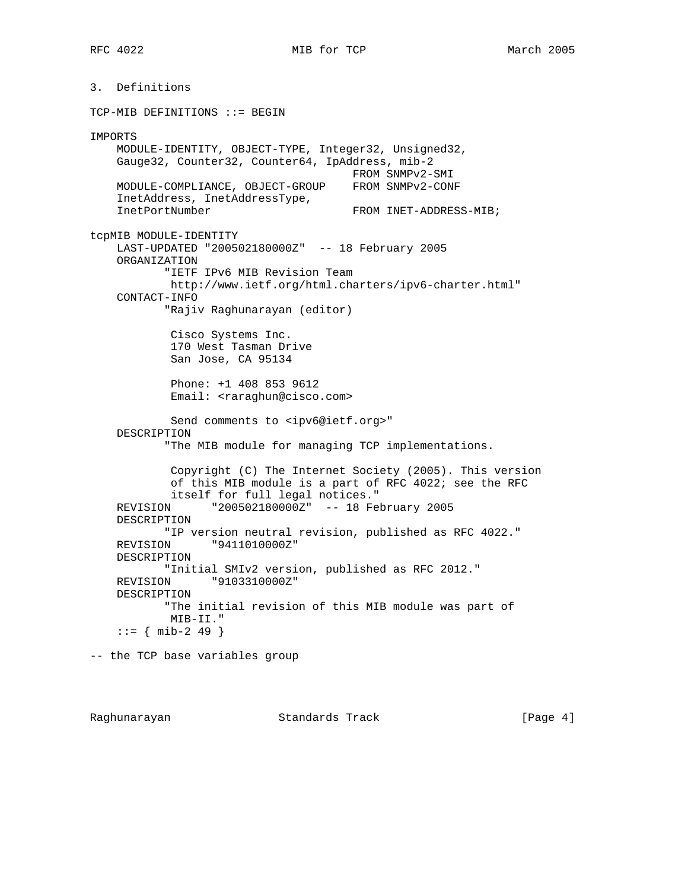3. Definitions TCP-MIB DEFINITIONS ::= BEGIN IMPORTS MODULE-IDENTITY, OBJECT-TYPE, Integer32, Unsigned32, Gauge32, Counter32, Counter64, IpAddress, mib-2 FROM SNMPv2-SMI MODULE-COMPLIANCE, OBJECT-GROUP FROM SNMPv2-CONF InetAddress, InetAddressType, InetPortNumber FROM INET-ADDRESS-MIB; tcpMIB MODULE-IDENTITY LAST-UPDATED "200502180000Z" -- 18 February 2005 ORGANIZATION "IETF IPv6 MIB Revision Team http://www.ietf.org/html.charters/ipv6-charter.html" CONTACT-INFO "Rajiv Raghunarayan (editor) Cisco Systems Inc. 170 West Tasman Drive San Jose, CA 95134 Phone: +1 408 853 9612 Email: <raraghun@cisco.com> Send comments to <ipv6@ietf.org>" DESCRIPTION "The MIB module for managing TCP implementations. Copyright (C) The Internet Society (2005). This version of this MIB module is a part of RFC 4022; see the RFC itself for full legal notices." REVISION "200502180000Z" -- 18 February 2005 DESCRIPTION "IP version neutral revision, published as RFC 4022." REVISION "9411010000Z" DESCRIPTION "Initial SMIv2 version, published as RFC 2012." REVISION "9103310000Z" DESCRIPTION "The initial revision of this MIB module was part of MIB-II."  $::=$  { mib-2 49 } -- the TCP base variables group

Raghunarayan **Standards Track** 1986 [Page 4]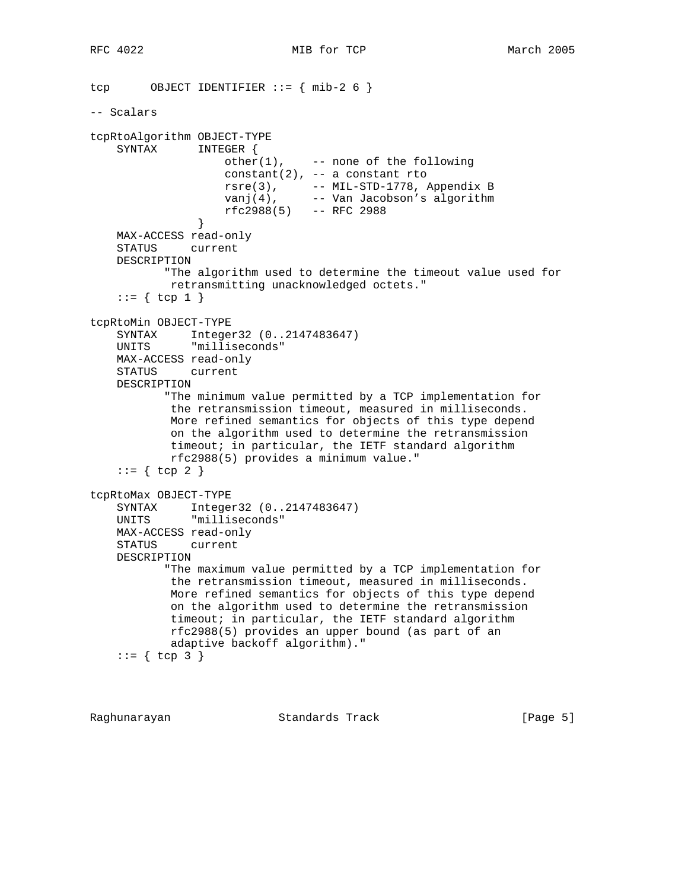```
tcp OBJECT IDENTIFIER := \{ \text{min-2 6 } \}-- Scalars
tcpRtoAlgorithm OBJECT-TYPE
    SYNTAX INTEGER {
                   other(1), --- none of the following
                    constant(2), -- a constant rto
 rsre(3), -- MIL-STD-1778, Appendix B
vanj(4),  -- Van Jacobson's algorithm
                    rfc2988(5) -- RFC 2988
 }
    MAX-ACCESS read-only
    STATUS current
    DESCRIPTION
           "The algorithm used to determine the timeout value used for
            retransmitting unacknowledged octets."
   ::= \{ \text{top } 1 \}tcpRtoMin OBJECT-TYPE
    SYNTAX Integer32 (0..2147483647)
    UNITS "milliseconds"
    MAX-ACCESS read-only
    STATUS current
    DESCRIPTION
           "The minimum value permitted by a TCP implementation for
            the retransmission timeout, measured in milliseconds.
            More refined semantics for objects of this type depend
            on the algorithm used to determine the retransmission
            timeout; in particular, the IETF standard algorithm
            rfc2988(5) provides a minimum value."
    ::= \{ \text{top } 2 \}tcpRtoMax OBJECT-TYPE
    SYNTAX Integer32 (0..2147483647)
    UNITS "milliseconds"
    MAX-ACCESS read-only
    STATUS current
    DESCRIPTION
           "The maximum value permitted by a TCP implementation for
            the retransmission timeout, measured in milliseconds.
            More refined semantics for objects of this type depend
            on the algorithm used to determine the retransmission
            timeout; in particular, the IETF standard algorithm
            rfc2988(5) provides an upper bound (as part of an
            adaptive backoff algorithm)."
    ::= \{ \text{top } 3 \}
```
Raghunarayan Standards Track [Page 5]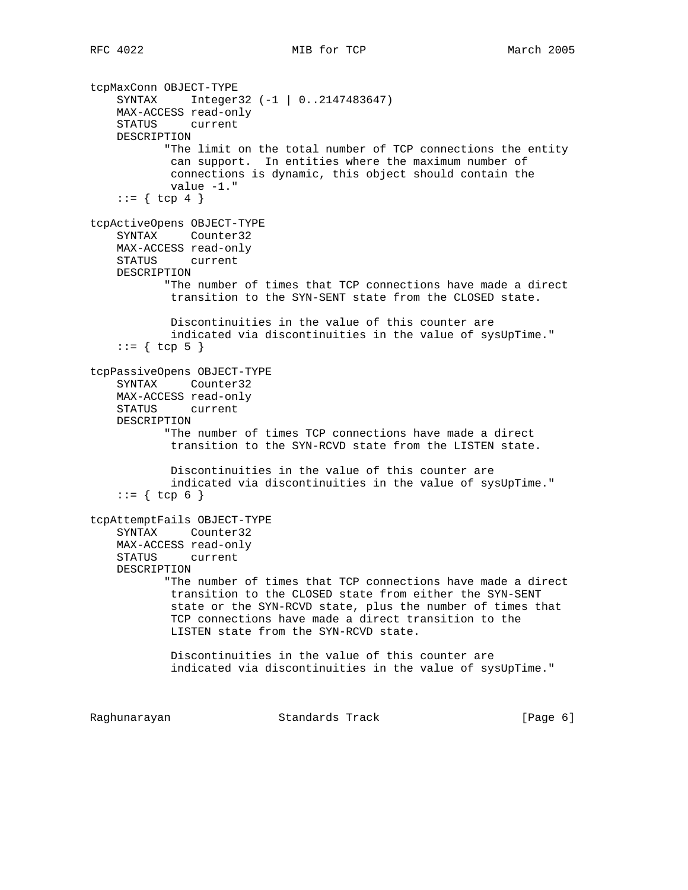```
tcpMaxConn OBJECT-TYPE
     SYNTAX Integer32 (-1 | 0..2147483647)
    MAX-ACCESS read-only
     STATUS current
    DESCRIPTION
            "The limit on the total number of TCP connections the entity
            can support. In entities where the maximum number of
            connections is dynamic, this object should contain the
            value -1."
    ::= \{ \text{top } 4 \}tcpActiveOpens OBJECT-TYPE
     SYNTAX Counter32
    MAX-ACCESS read-only
    STATUS current
    DESCRIPTION
            "The number of times that TCP connections have made a direct
            transition to the SYN-SENT state from the CLOSED state.
            Discontinuities in the value of this counter are
            indicated via discontinuities in the value of sysUpTime."
    ::= \{ \text{top } 5 \}tcpPassiveOpens OBJECT-TYPE
     SYNTAX Counter32
    MAX-ACCESS read-only
    STATUS current
    DESCRIPTION
            "The number of times TCP connections have made a direct
            transition to the SYN-RCVD state from the LISTEN state.
            Discontinuities in the value of this counter are
            indicated via discontinuities in the value of sysUpTime."
    ::= \{ \text{tcp } 6 \}tcpAttemptFails OBJECT-TYPE
     SYNTAX Counter32
    MAX-ACCESS read-only
    STATUS current
    DESCRIPTION
            "The number of times that TCP connections have made a direct
            transition to the CLOSED state from either the SYN-SENT
            state or the SYN-RCVD state, plus the number of times that
            TCP connections have made a direct transition to the
            LISTEN state from the SYN-RCVD state.
            Discontinuities in the value of this counter are
            indicated via discontinuities in the value of sysUpTime."
Raghunarayan Standards Track [Page 6]
```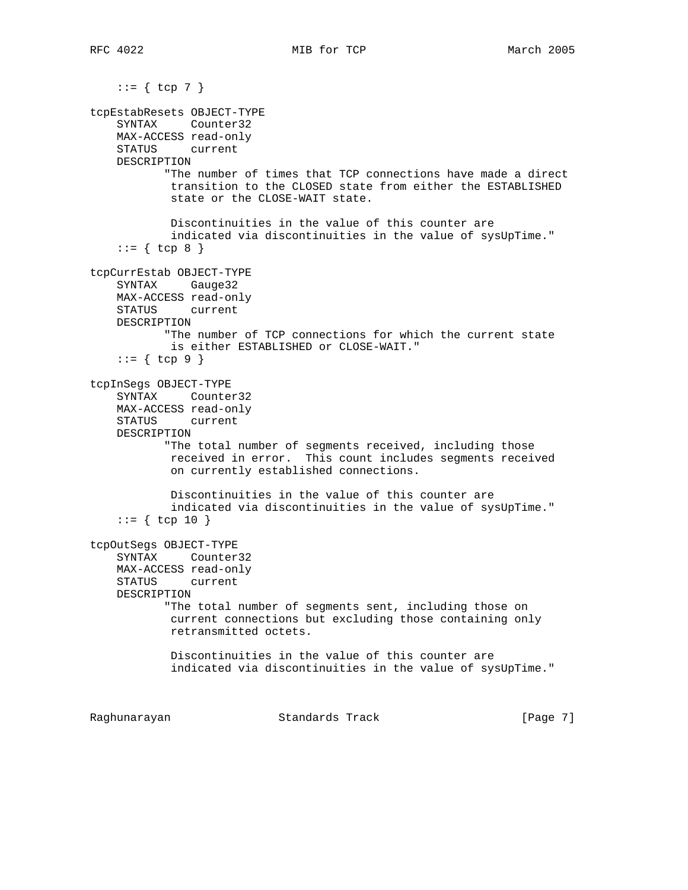::= { tcp 7 } tcpEstabResets OBJECT-TYPE SYNTAX Counter32 MAX-ACCESS read-only STATUS current DESCRIPTION "The number of times that TCP connections have made a direct transition to the CLOSED state from either the ESTABLISHED state or the CLOSE-WAIT state. Discontinuities in the value of this counter are indicated via discontinuities in the value of sysUpTime."  $::= \{ \text{top } 8 \}$ tcpCurrEstab OBJECT-TYPE SYNTAX Gauge32 MAX-ACCESS read-only STATUS current DESCRIPTION "The number of TCP connections for which the current state is either ESTABLISHED or CLOSE-WAIT." ::= { tcp 9 } tcpInSegs OBJECT-TYPE SYNTAX Counter32 MAX-ACCESS read-only STATUS current DESCRIPTION "The total number of segments received, including those received in error. This count includes segments received on currently established connections. Discontinuities in the value of this counter are indicated via discontinuities in the value of sysUpTime."  $::=$  { tcp 10 } tcpOutSegs OBJECT-TYPE SYNTAX Counter32 MAX-ACCESS read-only STATUS current DESCRIPTION "The total number of segments sent, including those on current connections but excluding those containing only retransmitted octets. Discontinuities in the value of this counter are indicated via discontinuities in the value of sysUpTime."

Raghunarayan Standards Track [Page 7]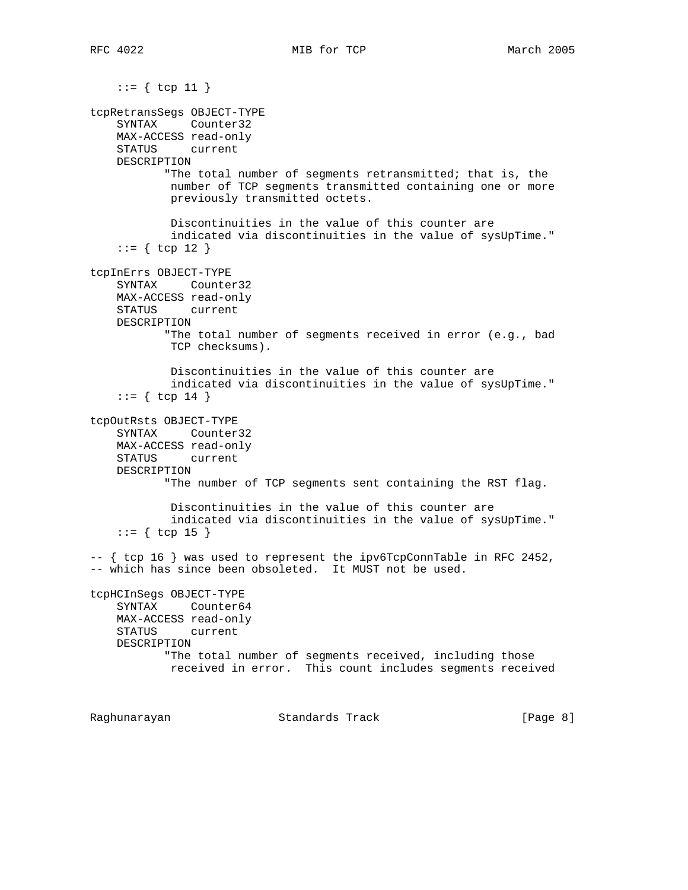$::= \{ \text{top } 11 \}$ tcpRetransSegs OBJECT-TYPE SYNTAX Counter32 MAX-ACCESS read-only STATUS current DESCRIPTION "The total number of segments retransmitted; that is, the number of TCP segments transmitted containing one or more previously transmitted octets. Discontinuities in the value of this counter are indicated via discontinuities in the value of sysUpTime."  $::=$  { tcp 12 } tcpInErrs OBJECT-TYPE SYNTAX Counter32 MAX-ACCESS read-only STATUS current DESCRIPTION "The total number of segments received in error (e.g., bad TCP checksums). Discontinuities in the value of this counter are indicated via discontinuities in the value of sysUpTime."  $::=$  { tcp 14 } tcpOutRsts OBJECT-TYPE SYNTAX Counter32 MAX-ACCESS read-only STATUS current DESCRIPTION "The number of TCP segments sent containing the RST flag. Discontinuities in the value of this counter are indicated via discontinuities in the value of sysUpTime."  $::= \{ \text{top } 15 \}$  $--$  { tcp 16 } was used to represent the ipv6TcpConnTable in RFC 2452, -- which has since been obsoleted. It MUST not be used. tcpHCInSegs OBJECT-TYPE SYNTAX Counter64 MAX-ACCESS read-only STATUS current DESCRIPTION "The total number of segments received, including those received in error. This count includes segments received Raghunarayan Standards Track [Page 8]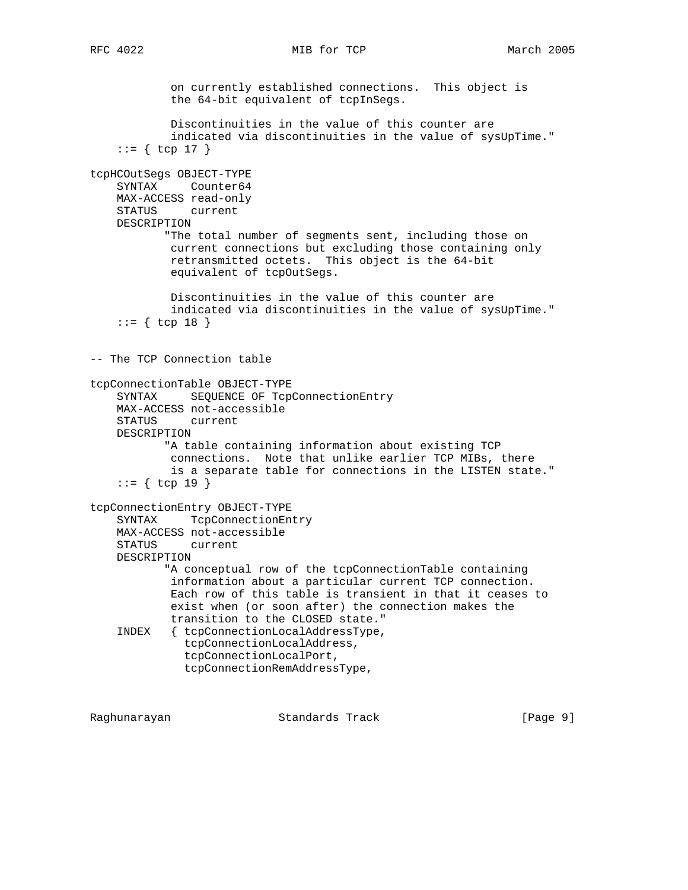on currently established connections. This object is the 64-bit equivalent of tcpInSegs. Discontinuities in the value of this counter are indicated via discontinuities in the value of sysUpTime."  $::=$  { tcp 17 } tcpHCOutSegs OBJECT-TYPE SYNTAX Counter64 MAX-ACCESS read-only STATUS current DESCRIPTION "The total number of segments sent, including those on current connections but excluding those containing only retransmitted octets. This object is the 64-bit equivalent of tcpOutSegs. Discontinuities in the value of this counter are indicated via discontinuities in the value of sysUpTime."  $::=$  { tcp 18 } -- The TCP Connection table tcpConnectionTable OBJECT-TYPE SYNTAX SEQUENCE OF TcpConnectionEntry MAX-ACCESS not-accessible STATUS current DESCRIPTION "A table containing information about existing TCP connections. Note that unlike earlier TCP MIBs, there is a separate table for connections in the LISTEN state."  $::=$  { tcp 19 } tcpConnectionEntry OBJECT-TYPE SYNTAX TcpConnectionEntry MAX-ACCESS not-accessible STATUS current DESCRIPTION "A conceptual row of the tcpConnectionTable containing information about a particular current TCP connection. Each row of this table is transient in that it ceases to exist when (or soon after) the connection makes the transition to the CLOSED state." INDEX { tcpConnectionLocalAddressType, tcpConnectionLocalAddress, tcpConnectionLocalPort, tcpConnectionRemAddressType,

Raghunarayan Standards Track [Page 9]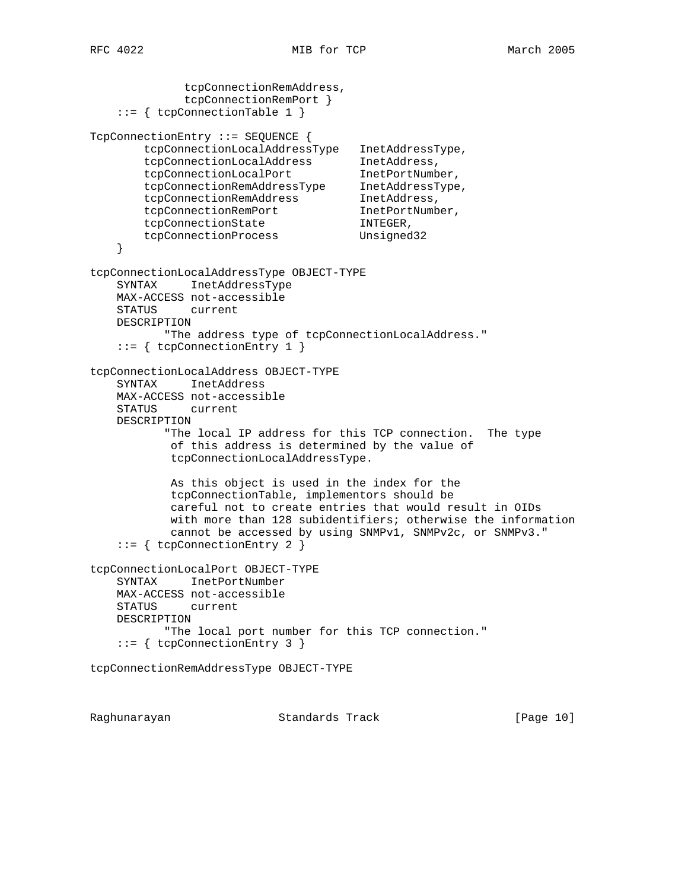```
 tcpConnectionRemAddress,
              tcpConnectionRemPort }
    ::= { tcpConnectionTable 1 }
TcpConnectionEntry ::= SEQUENCE {
        tcpConnectionLocalAddressType InetAddressType,
 tcpConnectionLocalAddress InetAddress,
 tcpConnectionLocalPort InetPortNumber,
 tcpConnectionRemAddressType InetAddressType,
tcpConnectionRemAddress InetAddress,
tcpConnectionRemPort InetPortNumber,
tcpConnectionState INTEGER,
        tcpConnectionProcess Unsigned32
    }
tcpConnectionLocalAddressType OBJECT-TYPE
    SYNTAX InetAddressType
    MAX-ACCESS not-accessible
    STATUS current
    DESCRIPTION
           "The address type of tcpConnectionLocalAddress."
    ::= { tcpConnectionEntry 1 }
tcpConnectionLocalAddress OBJECT-TYPE
    SYNTAX InetAddress
    MAX-ACCESS not-accessible
    STATUS current
    DESCRIPTION
           "The local IP address for this TCP connection. The type
            of this address is determined by the value of
            tcpConnectionLocalAddressType.
            As this object is used in the index for the
            tcpConnectionTable, implementors should be
            careful not to create entries that would result in OIDs
            with more than 128 subidentifiers; otherwise the information
            cannot be accessed by using SNMPv1, SNMPv2c, or SNMPv3."
    ::= { tcpConnectionEntry 2 }
tcpConnectionLocalPort OBJECT-TYPE
    SYNTAX InetPortNumber
    MAX-ACCESS not-accessible
    STATUS current
    DESCRIPTION
           "The local port number for this TCP connection."
    ::= { tcpConnectionEntry 3 }
tcpConnectionRemAddressType OBJECT-TYPE
```
Raghunarayan **Standards Track** [Page 10]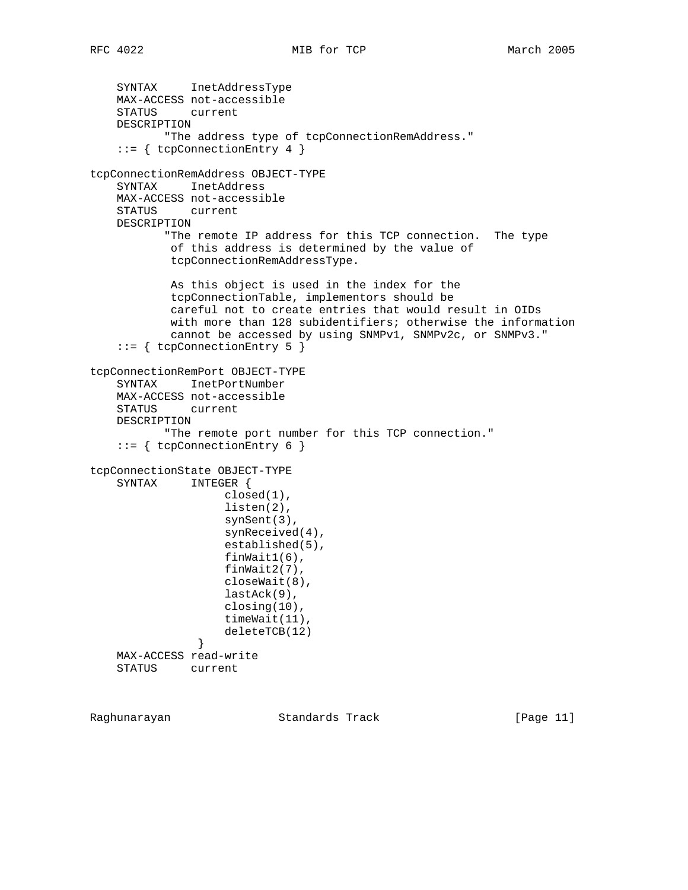```
 SYNTAX InetAddressType
    MAX-ACCESS not-accessible
    STATUS current
    DESCRIPTION
            "The address type of tcpConnectionRemAddress."
     ::= { tcpConnectionEntry 4 }
tcpConnectionRemAddress OBJECT-TYPE
     SYNTAX InetAddress
    MAX-ACCESS not-accessible
    STATUS current
    DESCRIPTION
            "The remote IP address for this TCP connection. The type
            of this address is determined by the value of
             tcpConnectionRemAddressType.
            As this object is used in the index for the
             tcpConnectionTable, implementors should be
            careful not to create entries that would result in OIDs
            with more than 128 subidentifiers; otherwise the information
            cannot be accessed by using SNMPv1, SNMPv2c, or SNMPv3."
     ::= { tcpConnectionEntry 5 }
tcpConnectionRemPort OBJECT-TYPE
     SYNTAX InetPortNumber
    MAX-ACCESS not-accessible
    STATUS current
    DESCRIPTION
            "The remote port number for this TCP connection."
     ::= { tcpConnectionEntry 6 }
tcpConnectionState OBJECT-TYPE
    SYNTAX INTEGER {
                     closed(1),
                     listen(2),
                     synSent(3),
                     synReceived(4),
                     established(5),
                     finWait1(6),
                     finWait2(7),
                     closeWait(8),
                     lastAck(9),
                    closing(10),
                    timeWait(11),
               deleteTCB(12)<br>}
 }
    MAX-ACCESS read-write
    STATUS current
```
Raghunarayan **Standards Track** [Page 11]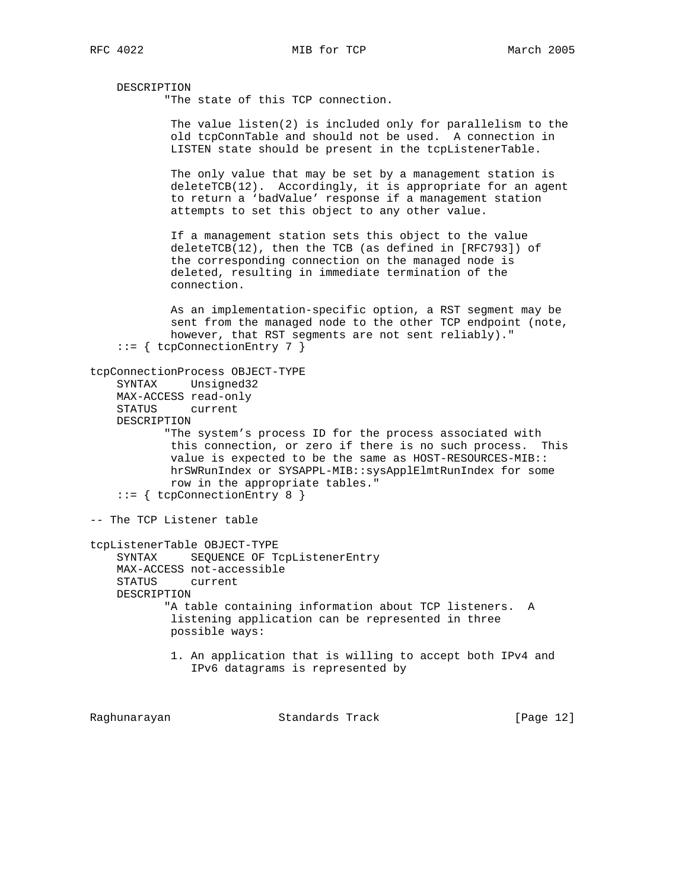DESCRIPTION

"The state of this TCP connection.

 The value listen(2) is included only for parallelism to the old tcpConnTable and should not be used. A connection in LISTEN state should be present in the tcpListenerTable.

 The only value that may be set by a management station is  $deleteTCB(12)$ . Accordingly, it is appropriate for an agent to return a 'badValue' response if a management station attempts to set this object to any other value.

 If a management station sets this object to the value deleteTCB(12), then the TCB (as defined in [RFC793]) of the corresponding connection on the managed node is deleted, resulting in immediate termination of the connection.

 As an implementation-specific option, a RST segment may be sent from the managed node to the other TCP endpoint (note, however, that RST segments are not sent reliably)." ::= { tcpConnectionEntry 7 }

```
tcpConnectionProcess OBJECT-TYPE
```
 SYNTAX Unsigned32 MAX-ACCESS read-only STATUS current

DESCRIPTION

 "The system's process ID for the process associated with this connection, or zero if there is no such process. This value is expected to be the same as HOST-RESOURCES-MIB:: hrSWRunIndex or SYSAPPL-MIB::sysApplElmtRunIndex for some row in the appropriate tables."

```
 ::= { tcpConnectionEntry 8 }
```
-- The TCP Listener table

tcpListenerTable OBJECT-TYPE SYNTAX SEQUENCE OF TcpListenerEntry MAX-ACCESS not-accessible STATUS current DESCRIPTION "A table containing information about TCP listeners. A listening application can be represented in three possible ways:

> 1. An application that is willing to accept both IPv4 and IPv6 datagrams is represented by

Raghunarayan **Standards Track** [Page 12]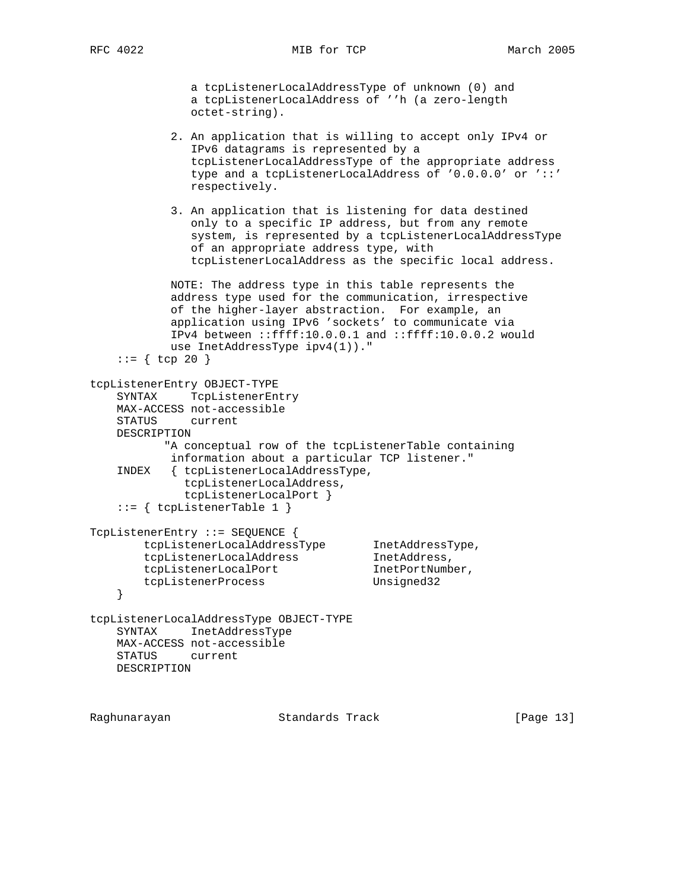RFC 4022 MIB for TCP March 2005

 a tcpListenerLocalAddressType of unknown (0) and a tcpListenerLocalAddress of ''h (a zero-length octet-string).

 2. An application that is willing to accept only IPv4 or IPv6 datagrams is represented by a tcpListenerLocalAddressType of the appropriate address type and a tcpListenerLocalAddress of '0.0.0.0' or '::' respectively.

 3. An application that is listening for data destined only to a specific IP address, but from any remote system, is represented by a tcpListenerLocalAddressType of an appropriate address type, with tcpListenerLocalAddress as the specific local address.

 NOTE: The address type in this table represents the address type used for the communication, irrespective of the higher-layer abstraction. For example, an application using IPv6 'sockets' to communicate via IPv4 between ::ffff:10.0.0.1 and ::ffff:10.0.0.2 would use InetAddressType ipv4(1))."  $::=$  { tcp 20 }

```
tcpListenerEntry OBJECT-TYPE
    SYNTAX TcpListenerEntry
    MAX-ACCESS not-accessible
    STATUS current
    DESCRIPTION
           "A conceptual row of the tcpListenerTable containing
           information about a particular TCP listener."
    INDEX { tcpListenerLocalAddressType,
             tcpListenerLocalAddress,
             tcpListenerLocalPort }
    ::= { tcpListenerTable 1 }
TcpListenerEntry ::= SEQUENCE {
 tcpListenerLocalAddressType InetAddressType,
tcpListenerLocalAddress 1netAddress,
tcpListenerLocalPort 1netPortNumber,
        tcpListenerProcess Unsigned32
    }
tcpListenerLocalAddressType OBJECT-TYPE
    SYNTAX InetAddressType
```
Raghunarayan Standards Track [Page 13]

MAX-ACCESS not-accessible

STATUS current

DESCRIPTION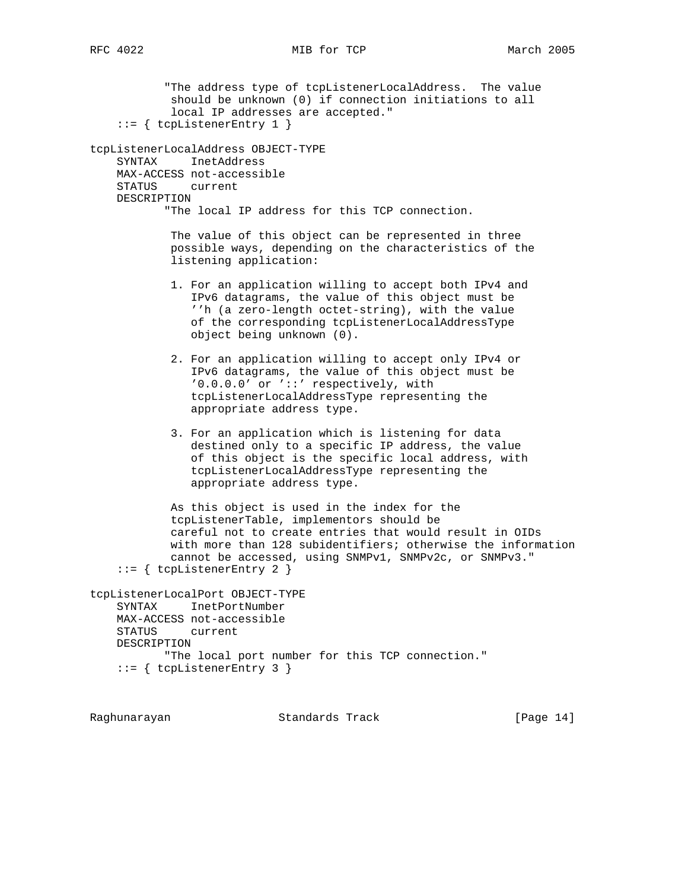"The address type of tcpListenerLocalAddress. The value should be unknown (0) if connection initiations to all local IP addresses are accepted." ::= { tcpListenerEntry 1 } tcpListenerLocalAddress OBJECT-TYPE SYNTAX InetAddress MAX-ACCESS not-accessible STATUS current DESCRIPTION "The local IP address for this TCP connection. The value of this object can be represented in three possible ways, depending on the characteristics of the listening application: 1. For an application willing to accept both IPv4 and IPv6 datagrams, the value of this object must be ''h (a zero-length octet-string), with the value of the corresponding tcpListenerLocalAddressType object being unknown (0). 2. For an application willing to accept only IPv4 or IPv6 datagrams, the value of this object must be '0.0.0.0' or '::' respectively, with tcpListenerLocalAddressType representing the appropriate address type. 3. For an application which is listening for data destined only to a specific IP address, the value of this object is the specific local address, with tcpListenerLocalAddressType representing the appropriate address type. As this object is used in the index for the tcpListenerTable, implementors should be careful not to create entries that would result in OIDs with more than 128 subidentifiers; otherwise the information cannot be accessed, using SNMPv1, SNMPv2c, or SNMPv3."  $::=$  { tcpListenerEntry 2 } tcpListenerLocalPort OBJECT-TYPE SYNTAX InetPortNumber MAX-ACCESS not-accessible STATUS current DESCRIPTION "The local port number for this TCP connection." ::= { tcpListenerEntry 3 }

Raghunarayan Standards Track [Page 14]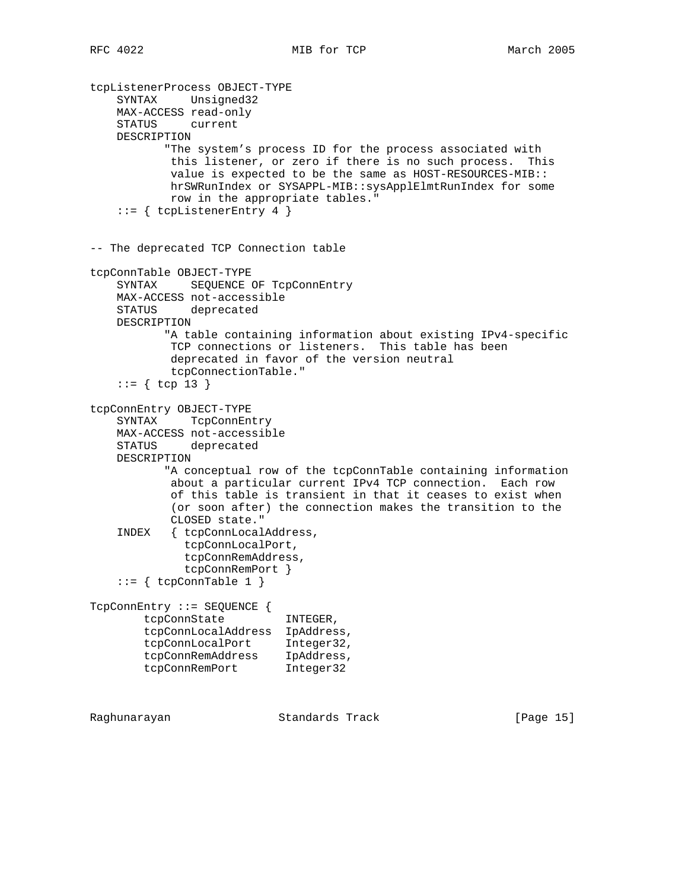```
tcpListenerProcess OBJECT-TYPE
    SYNTAX Unsigned32
    MAX-ACCESS read-only
    STATUS current
    DESCRIPTION
            "The system's process ID for the process associated with
            this listener, or zero if there is no such process. This
            value is expected to be the same as HOST-RESOURCES-MIB::
            hrSWRunIndex or SYSAPPL-MIB::sysApplElmtRunIndex for some
            row in the appropriate tables."
    ::= { tcpListenerEntry 4 }
-- The deprecated TCP Connection table
tcpConnTable OBJECT-TYPE
    SYNTAX SEQUENCE OF TcpConnEntry
    MAX-ACCESS not-accessible
    STATUS deprecated
    DESCRIPTION
           "A table containing information about existing IPv4-specific
            TCP connections or listeners. This table has been
            deprecated in favor of the version neutral
            tcpConnectionTable."
     ::= { tcp 13 }
tcpConnEntry OBJECT-TYPE
    SYNTAX TcpConnEntry
    MAX-ACCESS not-accessible
    STATUS deprecated
    DESCRIPTION
           "A conceptual row of the tcpConnTable containing information
            about a particular current IPv4 TCP connection. Each row
            of this table is transient in that it ceases to exist when
            (or soon after) the connection makes the transition to the
            CLOSED state."
     INDEX { tcpConnLocalAddress,
              tcpConnLocalPort,
              tcpConnRemAddress,
              tcpConnRemPort }
    ::= \{ \text{tcpConnTable 1 } \}TcpConnEntry ::= SEQUENCE {
        tcpConnState INTEGER,
        tcpConnLocalAddress IpAddress,
 tcpConnLocalPort Integer32,
 tcpConnRemAddress IpAddress,
 tcpConnRemPort Integer32
```
Raghunarayan Standards Track [Page 15]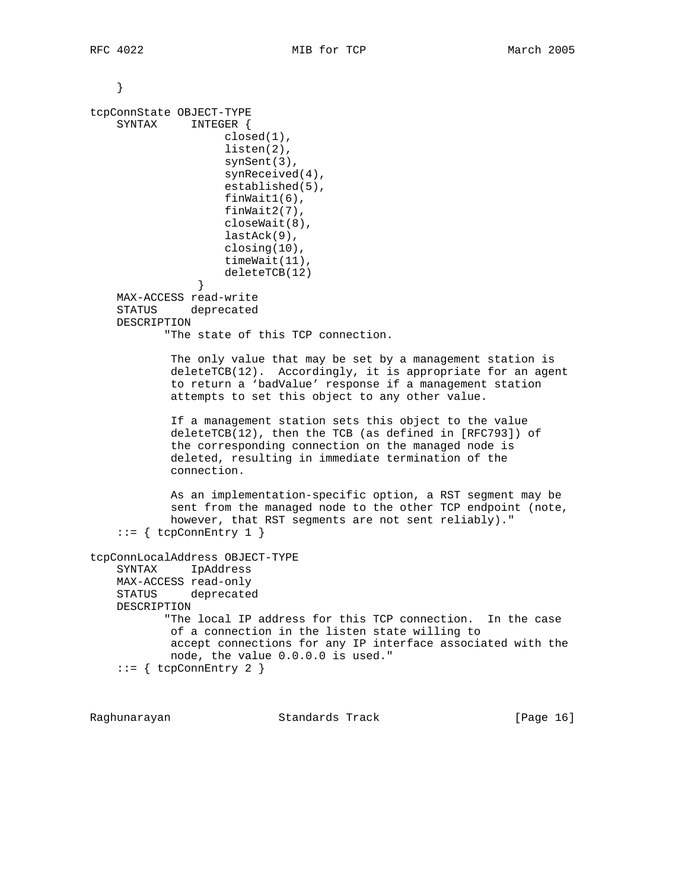```
 }
tcpConnState OBJECT-TYPE
     SYNTAX INTEGER {
                    closed(1),
                     listen(2),
                    synSent(3),
                    synReceived(4),
                     established(5),
                     finWait1(6),
                     finWait2(7),
                     closeWait(8),
                     lastAck(9),
                     closing(10),
                     timeWait(11),
               deleteTCB(12)<br>}
 }
    MAX-ACCESS read-write
     STATUS deprecated
    DESCRIPTION
            "The state of this TCP connection.
             The only value that may be set by a management station is
            deleteTCB(12). Accordingly, it is appropriate for an agent
             to return a 'badValue' response if a management station
             attempts to set this object to any other value.
             If a management station sets this object to the value
             deleteTCB(12), then the TCB (as defined in [RFC793]) of
             the corresponding connection on the managed node is
             deleted, resulting in immediate termination of the
             connection.
             As an implementation-specific option, a RST segment may be
             sent from the managed node to the other TCP endpoint (note,
            however, that RST segments are not sent reliably)."
     ::= { tcpConnEntry 1 }
tcpConnLocalAddress OBJECT-TYPE
     SYNTAX IpAddress
    MAX-ACCESS read-only
    STATUS deprecated
    DESCRIPTION
            "The local IP address for this TCP connection. In the case
            of a connection in the listen state willing to
            accept connections for any IP interface associated with the
            node, the value 0.0.0.0 is used."
    ::= { tcpConnEntry 2 }
```
Raghunarayan **Standards Track** [Page 16]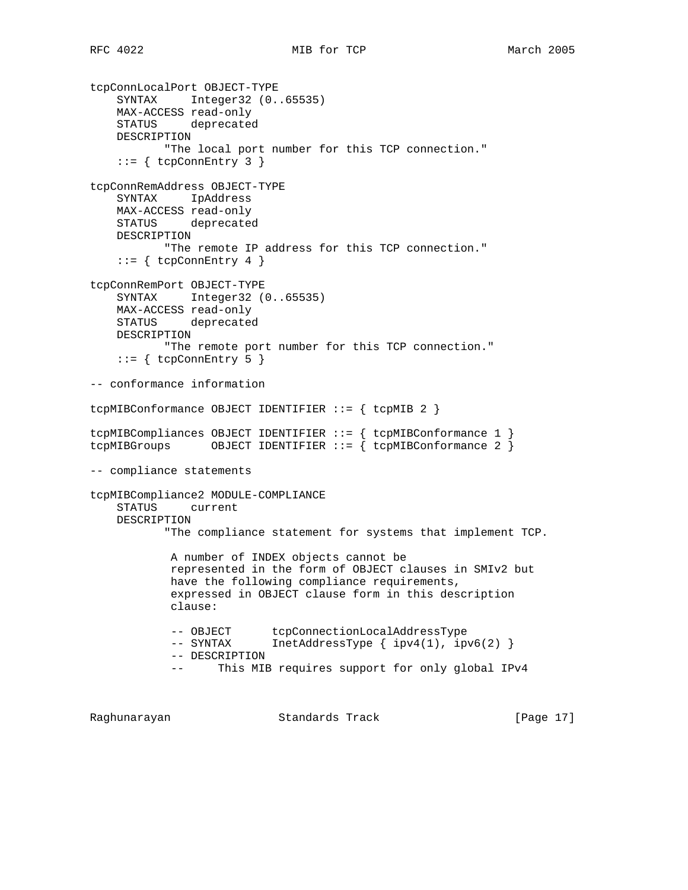tcpConnLocalPort OBJECT-TYPE SYNTAX Integer32 (0..65535) MAX-ACCESS read-only STATUS deprecated DESCRIPTION "The local port number for this TCP connection."  $::=$  { tcpConnEntry 3 } tcpConnRemAddress OBJECT-TYPE SYNTAX IpAddress MAX-ACCESS read-only STATUS deprecated DESCRIPTION "The remote IP address for this TCP connection."  $::=$  { tcpConnEntry 4 } tcpConnRemPort OBJECT-TYPE SYNTAX Integer32 (0..65535) MAX-ACCESS read-only STATUS deprecated DESCRIPTION "The remote port number for this TCP connection."  $::=$  { tcpConnEntry 5 } -- conformance information tcpMIBConformance OBJECT IDENTIFIER ::= { tcpMIB 2 } tcpMIBCompliances OBJECT IDENTIFIER ::= { tcpMIBConformance 1 } tcpMIBGroups OBJECT IDENTIFIER  $::=$  { tcpMIBConformance 2 } -- compliance statements tcpMIBCompliance2 MODULE-COMPLIANCE STATUS current DESCRIPTION "The compliance statement for systems that implement TCP. A number of INDEX objects cannot be represented in the form of OBJECT clauses in SMIv2 but have the following compliance requirements, expressed in OBJECT clause form in this description clause: -- OBJECT tcpConnectionLocalAddressType -- SYNTAX InetAddressType { ipv4(1), ipv6(2) } -- DESCRIPTION -- This MIB requires support for only global IPv4

Raghunarayan Standards Track [Page 17]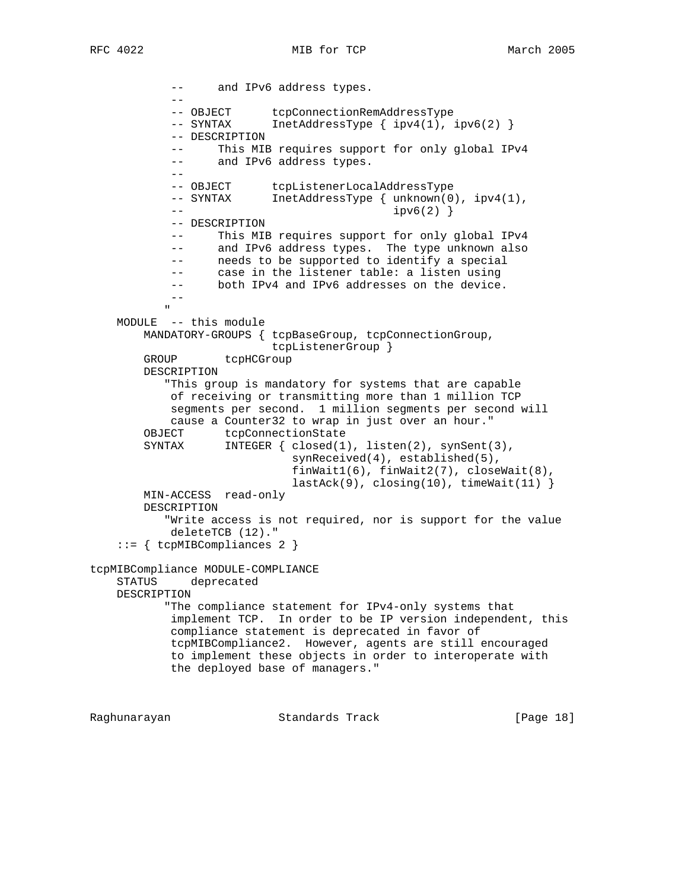-- and IPv6 address types. -- -- OBJECT tcpConnectionRemAddressType -- SYNTAX InetAddressType { ipv4(1), ipv6(2) } -- DESCRIPTION -- This MIB requires support for only global IPv4 -- and IPv6 address types.  $- -$ -- OBJECT tcpListenerLocalAddressType -- SYNTAX InetAddressType { unknown(0), ipv4(1), -- ipv6(2) } -- DESCRIPTION -- This MIB requires support for only global IPv4 -- and IPv6 address types. The type unknown also -- needs to be supported to identify a special -- case in the listener table: a listen using -- both IPv4 and IPv6 addresses on the device.  $- -$  " MODULE -- this module MANDATORY-GROUPS { tcpBaseGroup, tcpConnectionGroup, tcpListenerGroup } GROUP tcpHCGroup DESCRIPTION "This group is mandatory for systems that are capable of receiving or transmitting more than 1 million TCP segments per second. 1 million segments per second will cause a Counter32 to wrap in just over an hour." OBJECT tcpConnectionState SYNTAX INTEGER { closed(1), listen(2), synSent(3), synReceived(4), established(5), finWait1(6), finWait2(7), closeWait(8),  $lastack(9)$ ,  $closing(10)$ ,  $timeWait(11)$  } MIN-ACCESS read-only DESCRIPTION "Write access is not required, nor is support for the value deleteTCB (12)." ::= { tcpMIBCompliances 2 } tcpMIBCompliance MODULE-COMPLIANCE STATUS deprecated DESCRIPTION "The compliance statement for IPv4-only systems that implement TCP. In order to be IP version independent, this compliance statement is deprecated in favor of tcpMIBCompliance2. However, agents are still encouraged to implement these objects in order to interoperate with the deployed base of managers."

Raghunarayan Standards Track [Page 18]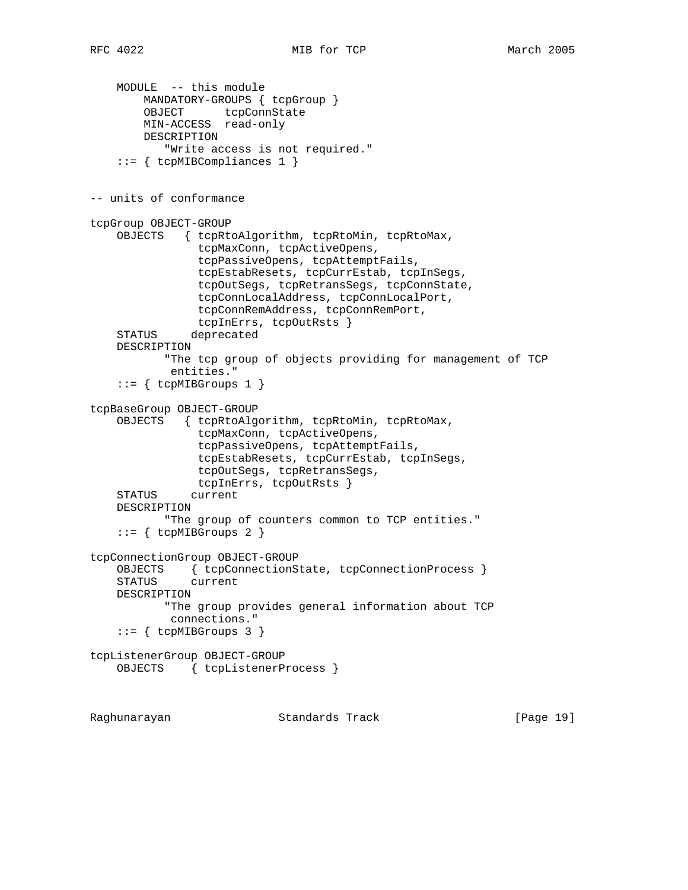```
 MODULE -- this module
        MANDATORY-GROUPS { tcpGroup }
       OBJECT tcpConnState
        MIN-ACCESS read-only
        DESCRIPTION
            "Write access is not required."
     ::= { tcpMIBCompliances 1 }
-- units of conformance
tcpGroup OBJECT-GROUP
    OBJECTS { tcpRtoAlgorithm, tcpRtoMin, tcpRtoMax,
                tcpMaxConn, tcpActiveOpens,
                tcpPassiveOpens, tcpAttemptFails,
                tcpEstabResets, tcpCurrEstab, tcpInSegs,
                tcpOutSegs, tcpRetransSegs, tcpConnState,
                tcpConnLocalAddress, tcpConnLocalPort,
                tcpConnRemAddress, tcpConnRemPort,
                tcpInErrs, tcpOutRsts }
    STATUS deprecated
    DESCRIPTION
            "The tcp group of objects providing for management of TCP
            entities."
    ::= { tcpMIBGroups 1 }
tcpBaseGroup OBJECT-GROUP
     OBJECTS { tcpRtoAlgorithm, tcpRtoMin, tcpRtoMax,
                tcpMaxConn, tcpActiveOpens,
                tcpPassiveOpens, tcpAttemptFails,
                tcpEstabResets, tcpCurrEstab, tcpInSegs,
                tcpOutSegs, tcpRetransSegs,
                tcpInErrs, tcpOutRsts }
     STATUS current
    DESCRIPTION
           "The group of counters common to TCP entities."
    ::= { tcpMIBGroups 2 }
tcpConnectionGroup OBJECT-GROUP
    OBJECTS { tcpConnectionState, tcpConnectionProcess }
    STATUS current
    DESCRIPTION
           "The group provides general information about TCP
            connections."
    ::= { tcpMIBGroups 3 }
tcpListenerGroup OBJECT-GROUP
    OBJECTS { tcpListenerProcess }
Raghunarayan Standards Track [Page 19]
```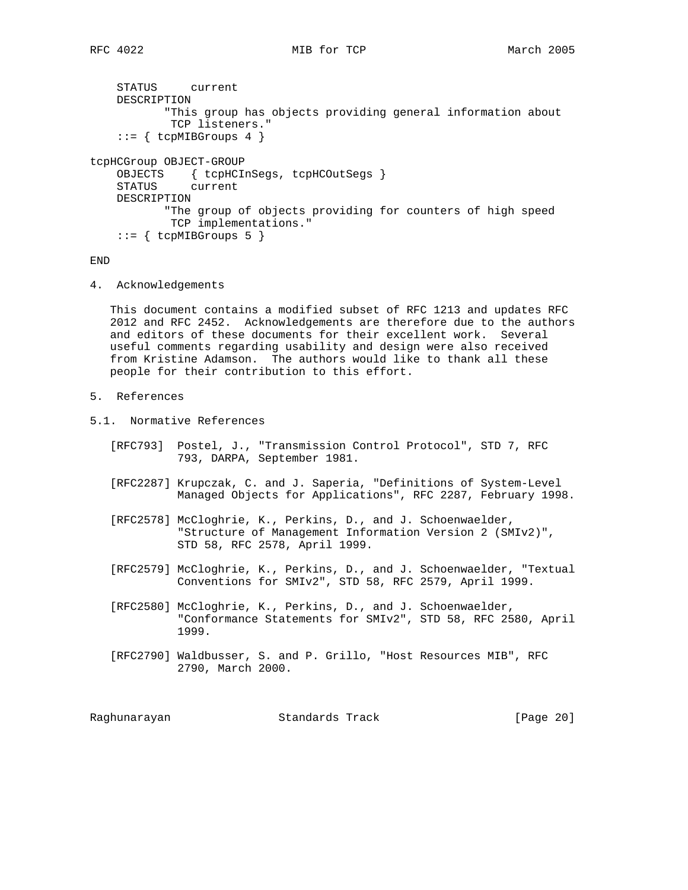```
 STATUS current
     DESCRIPTION
            "This group has objects providing general information about
             TCP listeners."
    ::= { tcpMIBGroups 4 }
tcpHCGroup OBJECT-GROUP
     OBJECTS { tcpHCInSegs, tcpHCOutSegs }
     STATUS current
    DESCRIPTION
            "The group of objects providing for counters of high speed
            TCP implementations."
    ::= { tcpMIBGroups 5 }
```
END

4. Acknowledgements

 This document contains a modified subset of RFC 1213 and updates RFC 2012 and RFC 2452. Acknowledgements are therefore due to the authors and editors of these documents for their excellent work. Several useful comments regarding usability and design were also received from Kristine Adamson. The authors would like to thank all these people for their contribution to this effort.

- 5. References
- 5.1. Normative References
	- [RFC793] Postel, J., "Transmission Control Protocol", STD 7, RFC 793, DARPA, September 1981.
	- [RFC2287] Krupczak, C. and J. Saperia, "Definitions of System-Level Managed Objects for Applications", RFC 2287, February 1998.
	- [RFC2578] McCloghrie, K., Perkins, D., and J. Schoenwaelder, "Structure of Management Information Version 2 (SMIv2)", STD 58, RFC 2578, April 1999.
	- [RFC2579] McCloghrie, K., Perkins, D., and J. Schoenwaelder, "Textual Conventions for SMIv2", STD 58, RFC 2579, April 1999.
	- [RFC2580] McCloghrie, K., Perkins, D., and J. Schoenwaelder, "Conformance Statements for SMIv2", STD 58, RFC 2580, April 1999.
	- [RFC2790] Waldbusser, S. and P. Grillo, "Host Resources MIB", RFC 2790, March 2000.

| Raqhunarayan | Standards Track | [Page 20] |
|--------------|-----------------|-----------|
|--------------|-----------------|-----------|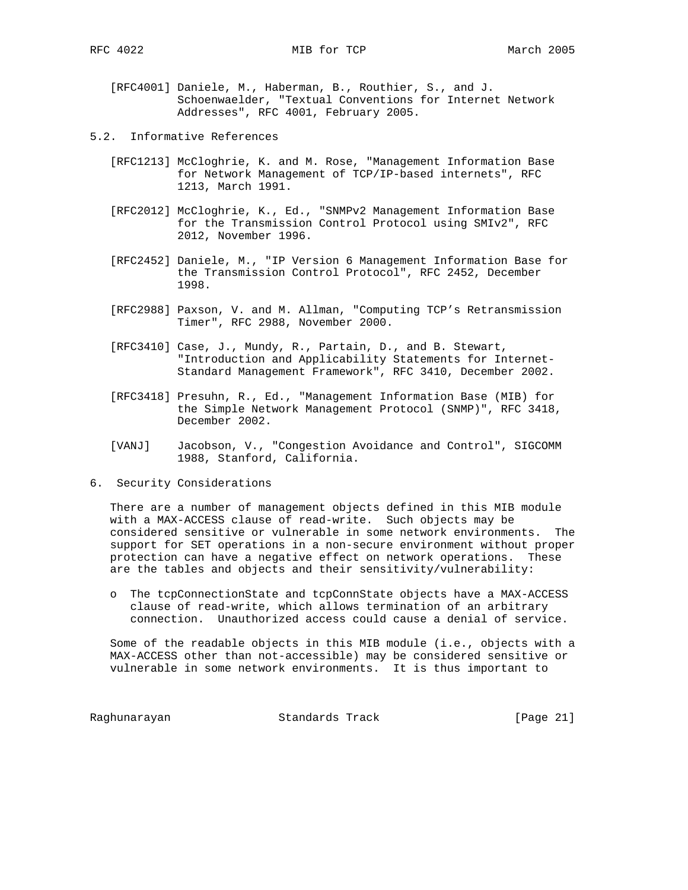- [RFC4001] Daniele, M., Haberman, B., Routhier, S., and J. Schoenwaelder, "Textual Conventions for Internet Network Addresses", RFC 4001, February 2005.
- 5.2. Informative References
	- [RFC1213] McCloghrie, K. and M. Rose, "Management Information Base for Network Management of TCP/IP-based internets", RFC 1213, March 1991.
	- [RFC2012] McCloghrie, K., Ed., "SNMPv2 Management Information Base for the Transmission Control Protocol using SMIv2", RFC 2012, November 1996.
	- [RFC2452] Daniele, M., "IP Version 6 Management Information Base for the Transmission Control Protocol", RFC 2452, December 1998.
	- [RFC2988] Paxson, V. and M. Allman, "Computing TCP's Retransmission Timer", RFC 2988, November 2000.
	- [RFC3410] Case, J., Mundy, R., Partain, D., and B. Stewart, "Introduction and Applicability Statements for Internet- Standard Management Framework", RFC 3410, December 2002.
	- [RFC3418] Presuhn, R., Ed., "Management Information Base (MIB) for the Simple Network Management Protocol (SNMP)", RFC 3418, December 2002.
	- [VANJ] Jacobson, V., "Congestion Avoidance and Control", SIGCOMM 1988, Stanford, California.
- 6. Security Considerations

 There are a number of management objects defined in this MIB module with a MAX-ACCESS clause of read-write. Such objects may be considered sensitive or vulnerable in some network environments. The support for SET operations in a non-secure environment without proper protection can have a negative effect on network operations. These are the tables and objects and their sensitivity/vulnerability:

 o The tcpConnectionState and tcpConnState objects have a MAX-ACCESS clause of read-write, which allows termination of an arbitrary connection. Unauthorized access could cause a denial of service.

 Some of the readable objects in this MIB module (i.e., objects with a MAX-ACCESS other than not-accessible) may be considered sensitive or vulnerable in some network environments. It is thus important to

Raghunarayan **Standards Track** [Page 21]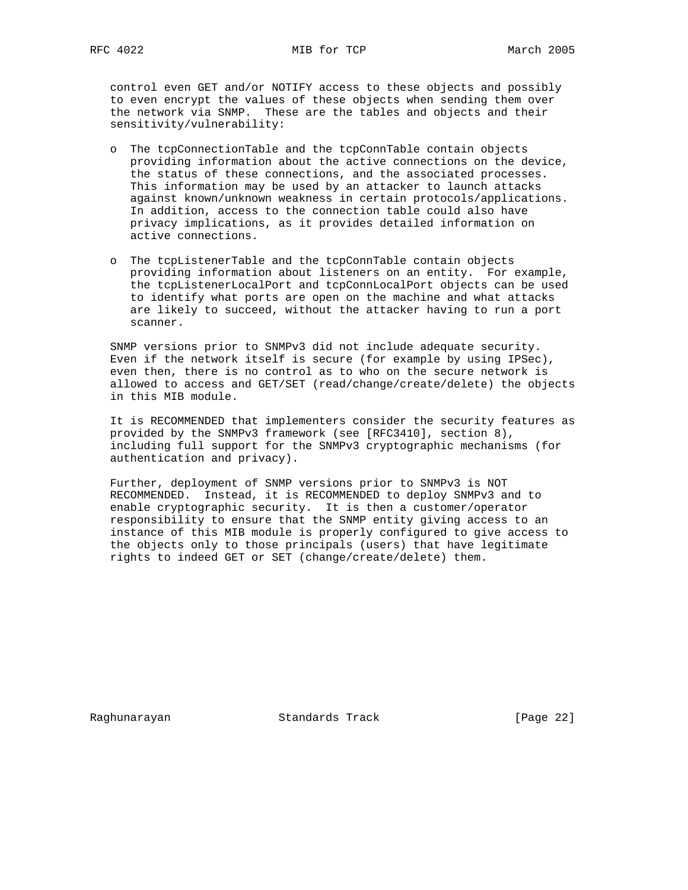control even GET and/or NOTIFY access to these objects and possibly to even encrypt the values of these objects when sending them over the network via SNMP. These are the tables and objects and their sensitivity/vulnerability:

- o The tcpConnectionTable and the tcpConnTable contain objects providing information about the active connections on the device, the status of these connections, and the associated processes. This information may be used by an attacker to launch attacks against known/unknown weakness in certain protocols/applications. In addition, access to the connection table could also have privacy implications, as it provides detailed information on active connections.
- o The tcpListenerTable and the tcpConnTable contain objects providing information about listeners on an entity. For example, the tcpListenerLocalPort and tcpConnLocalPort objects can be used to identify what ports are open on the machine and what attacks are likely to succeed, without the attacker having to run a port scanner.

 SNMP versions prior to SNMPv3 did not include adequate security. Even if the network itself is secure (for example by using IPSec), even then, there is no control as to who on the secure network is allowed to access and GET/SET (read/change/create/delete) the objects in this MIB module.

 It is RECOMMENDED that implementers consider the security features as provided by the SNMPv3 framework (see [RFC3410], section 8), including full support for the SNMPv3 cryptographic mechanisms (for authentication and privacy).

 Further, deployment of SNMP versions prior to SNMPv3 is NOT RECOMMENDED. Instead, it is RECOMMENDED to deploy SNMPv3 and to enable cryptographic security. It is then a customer/operator responsibility to ensure that the SNMP entity giving access to an instance of this MIB module is properly configured to give access to the objects only to those principals (users) that have legitimate rights to indeed GET or SET (change/create/delete) them.

Raghunarayan Standards Track [Page 22]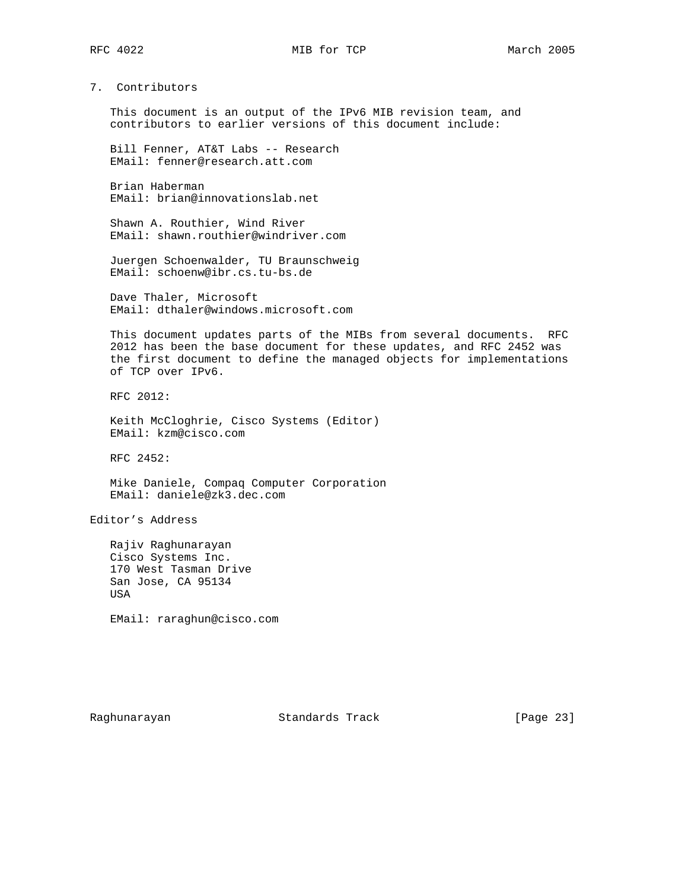# 7. Contributors

 This document is an output of the IPv6 MIB revision team, and contributors to earlier versions of this document include:

 Bill Fenner, AT&T Labs -- Research EMail: fenner@research.att.com

 Brian Haberman EMail: brian@innovationslab.net

 Shawn A. Routhier, Wind River EMail: shawn.routhier@windriver.com

 Juergen Schoenwalder, TU Braunschweig EMail: schoenw@ibr.cs.tu-bs.de

 Dave Thaler, Microsoft EMail: dthaler@windows.microsoft.com

 This document updates parts of the MIBs from several documents. RFC 2012 has been the base document for these updates, and RFC 2452 was the first document to define the managed objects for implementations of TCP over IPv6.

RFC 2012:

 Keith McCloghrie, Cisco Systems (Editor) EMail: kzm@cisco.com

RFC 2452:

 Mike Daniele, Compaq Computer Corporation EMail: daniele@zk3.dec.com

Editor's Address

 Rajiv Raghunarayan Cisco Systems Inc. 170 West Tasman Drive San Jose, CA 95134 USA

EMail: raraghun@cisco.com

Raghunarayan Standards Track [Page 23]